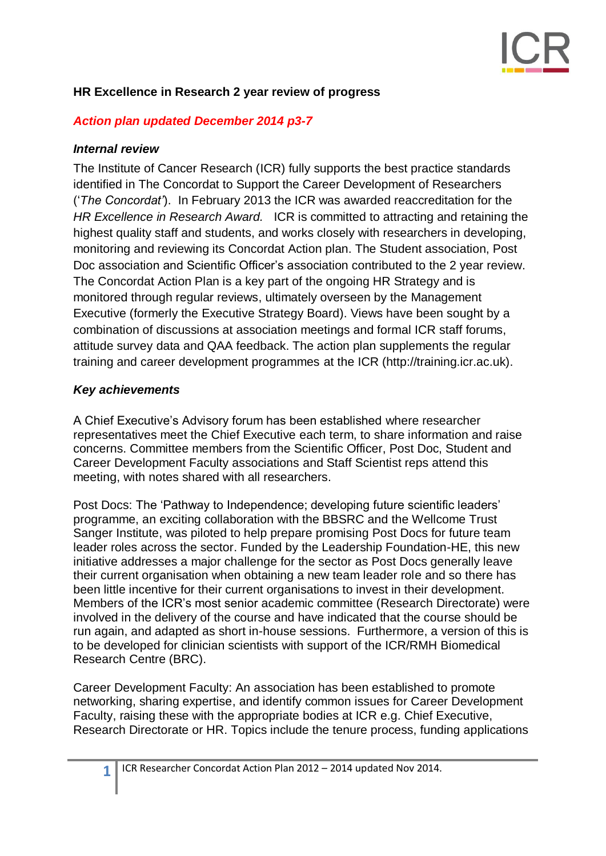### **HR Excellence in Research 2 year review of progress**

#### *Action plan updated December 2014 p3-7*

#### *Internal review*

The Institute of Cancer Research (ICR) fully supports the best practice standards identified in [The Concordat to Support the Career Development of Researchers](http://www.researchconcordat.ac.uk/) ('*The Concordat'*). In February 2013 the ICR was awarded reaccreditation for the *HR Excellence in Research Award.* ICR is committed to attracting and retaining the highest quality staff and students, and works closely with researchers in developing, monitoring and reviewing its Concordat Action plan. The Student association, Post Doc association and Scientific Officer's association contributed to the 2 year review. The Concordat Action Plan is a key part of the ongoing HR Strategy and is monitored through regular reviews, ultimately overseen by the Management Executive (formerly the Executive Strategy Board). Views have been sought by a combination of discussions at association meetings and formal ICR staff forums, attitude survey data and QAA feedback. The action plan supplements the regular training and career development programmes at the ICR (http://training.icr.ac.uk).

#### *Key achievements*

A Chief Executive's Advisory forum has been established where researcher representatives meet the Chief Executive each term, to share information and raise concerns. Committee members from the Scientific Officer, Post Doc, Student and Career Development Faculty associations and Staff Scientist reps attend this meeting, with notes shared with all researchers.

Post Docs: The 'Pathway to Independence; developing future scientific leaders' programme, an exciting collaboration with the BBSRC and the Wellcome Trust Sanger Institute, was piloted to help prepare promising Post Docs for future team leader roles across the sector. Funded by the Leadership Foundation-HE, this new initiative addresses a major challenge for the sector as Post Docs generally leave their current organisation when obtaining a new team leader role and so there has been little incentive for their current organisations to invest in their development. Members of the ICR's most senior academic committee (Research Directorate) were involved in the delivery of the course and have indicated that the course should be run again, and adapted as short in-house sessions. Furthermore, a version of this is to be developed for clinician scientists with support of the ICR/RMH Biomedical Research Centre (BRC).

Career Development Faculty: An association has been established to promote networking, sharing expertise, and identify common issues for Career Development Faculty, raising these with the appropriate bodies at ICR e.g. Chief Executive, Research Directorate or HR. Topics include the tenure process, funding applications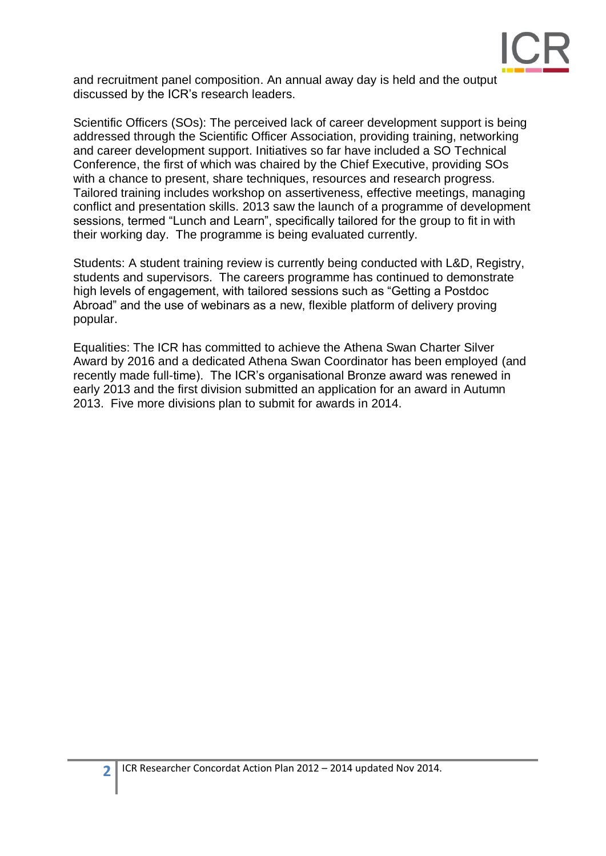

and recruitment panel composition. An annual away day is held and the output discussed by the ICR's research leaders.

Scientific Officers (SOs): The perceived lack of career development support is being addressed through the Scientific Officer Association, providing training, networking and career development support. Initiatives so far have included a SO Technical Conference, the first of which was chaired by the Chief Executive, providing SOs with a chance to present, share techniques, resources and research progress. Tailored training includes workshop on assertiveness, effective meetings, managing conflict and presentation skills. 2013 saw the launch of a programme of development sessions, termed "Lunch and Learn", specifically tailored for the group to fit in with their working day. The programme is being evaluated currently.

Students: A student training review is currently being conducted with L&D, Registry, students and supervisors. The careers programme has continued to demonstrate high levels of engagement, with tailored sessions such as "Getting a Postdoc Abroad" and the use of webinars as a new, flexible platform of delivery proving popular.

Equalities: The ICR has committed to achieve the Athena Swan Charter Silver Award by 2016 and a dedicated Athena Swan Coordinator has been employed (and recently made full-time). The ICR's organisational Bronze award was renewed in early 2013 and the first division submitted an application for an award in Autumn 2013. Five more divisions plan to submit for awards in 2014.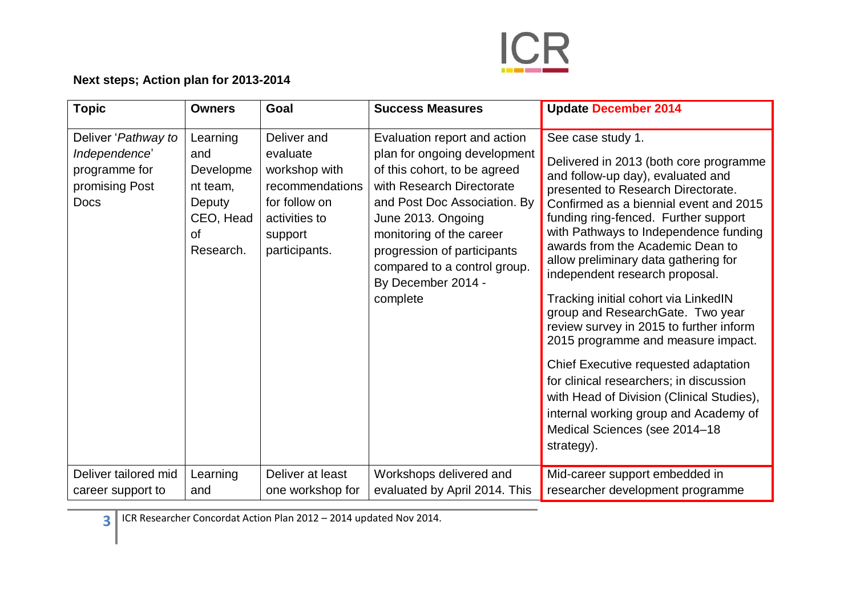

## **Next steps; Action plan for 2013-2014**

| <b>Topic</b>                                                                           | <b>Owners</b>                                                                             | Goal                                                                                                                      | <b>Success Measures</b>                                                                                                                                                                                                                                                                                      | <b>Update December 2014</b>                                                                                                                                                                                                                                                                                                                                                                                                                                                                                                                                                                                                                                                                                                                                          |
|----------------------------------------------------------------------------------------|-------------------------------------------------------------------------------------------|---------------------------------------------------------------------------------------------------------------------------|--------------------------------------------------------------------------------------------------------------------------------------------------------------------------------------------------------------------------------------------------------------------------------------------------------------|----------------------------------------------------------------------------------------------------------------------------------------------------------------------------------------------------------------------------------------------------------------------------------------------------------------------------------------------------------------------------------------------------------------------------------------------------------------------------------------------------------------------------------------------------------------------------------------------------------------------------------------------------------------------------------------------------------------------------------------------------------------------|
| Deliver 'Pathway to<br>Independence'<br>programme for<br>promising Post<br><b>Docs</b> | Learning<br>and<br>Developme<br>nt team,<br>Deputy<br>CEO, Head<br><b>of</b><br>Research. | Deliver and<br>evaluate<br>workshop with<br>recommendations<br>for follow on<br>activities to<br>support<br>participants. | Evaluation report and action<br>plan for ongoing development<br>of this cohort, to be agreed<br>with Research Directorate<br>and Post Doc Association. By<br>June 2013. Ongoing<br>monitoring of the career<br>progression of participants<br>compared to a control group.<br>By December 2014 -<br>complete | See case study 1.<br>Delivered in 2013 (both core programme<br>and follow-up day), evaluated and<br>presented to Research Directorate.<br>Confirmed as a biennial event and 2015<br>funding ring-fenced. Further support<br>with Pathways to Independence funding<br>awards from the Academic Dean to<br>allow preliminary data gathering for<br>independent research proposal.<br>Tracking initial cohort via LinkedIN<br>group and ResearchGate. Two year<br>review survey in 2015 to further inform<br>2015 programme and measure impact.<br>Chief Executive requested adaptation<br>for clinical researchers; in discussion<br>with Head of Division (Clinical Studies),<br>internal working group and Academy of<br>Medical Sciences (see 2014-18<br>strategy). |
| Deliver tailored mid<br>career support to                                              | Learning<br>and                                                                           | Deliver at least<br>one workshop for                                                                                      | Workshops delivered and<br>evaluated by April 2014. This                                                                                                                                                                                                                                                     | Mid-career support embedded in<br>researcher development programme                                                                                                                                                                                                                                                                                                                                                                                                                                                                                                                                                                                                                                                                                                   |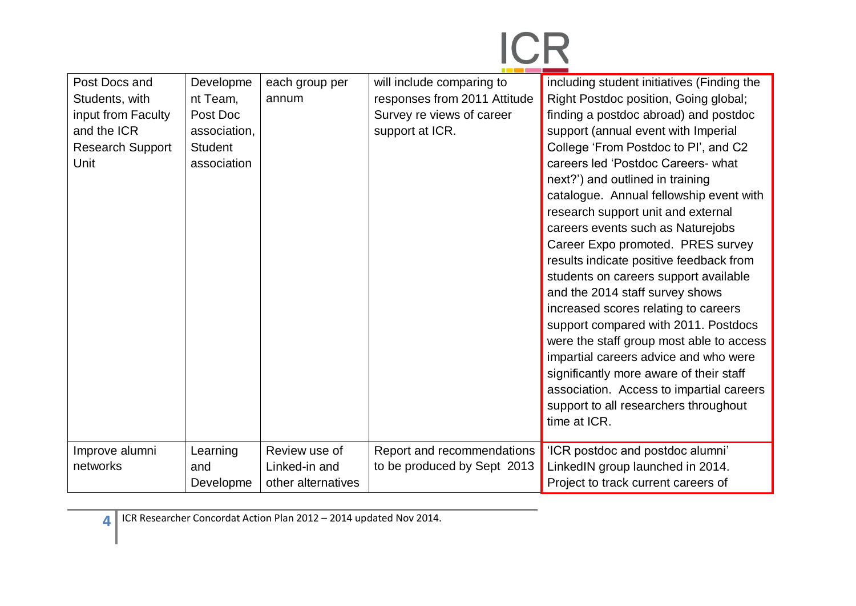| Post Docs and<br>Students, with<br>input from Faculty<br>and the ICR<br><b>Research Support</b><br>Unit | Developme<br>nt Team,<br>Post Doc<br>association.<br><b>Student</b><br>association | each group per<br>annum                              | will include comparing to<br>responses from 2011 Attitude<br>Survey re views of career<br>support at ICR. | including student initiatives (Finding the<br>Right Postdoc position, Going global;<br>finding a postdoc abroad) and postdoc<br>support (annual event with Imperial<br>College 'From Postdoc to PI', and C2<br>careers led 'Postdoc Careers- what<br>next?') and outlined in training<br>catalogue. Annual fellowship event with<br>research support unit and external<br>careers events such as Naturejobs<br>Career Expo promoted. PRES survey<br>results indicate positive feedback from<br>students on careers support available<br>and the 2014 staff survey shows<br>increased scores relating to careers<br>support compared with 2011. Postdocs<br>were the staff group most able to access<br>impartial careers advice and who were<br>significantly more aware of their staff<br>association. Access to impartial careers<br>support to all researchers throughout<br>time at ICR. |
|---------------------------------------------------------------------------------------------------------|------------------------------------------------------------------------------------|------------------------------------------------------|-----------------------------------------------------------------------------------------------------------|----------------------------------------------------------------------------------------------------------------------------------------------------------------------------------------------------------------------------------------------------------------------------------------------------------------------------------------------------------------------------------------------------------------------------------------------------------------------------------------------------------------------------------------------------------------------------------------------------------------------------------------------------------------------------------------------------------------------------------------------------------------------------------------------------------------------------------------------------------------------------------------------|
| Improve alumni<br>networks                                                                              | Learning<br>and<br>Developme                                                       | Review use of<br>Linked-in and<br>other alternatives | Report and recommendations<br>to be produced by Sept 2013                                                 | 'ICR postdoc and postdoc alumni'<br>LinkedIN group launched in 2014.<br>Project to track current careers of                                                                                                                                                                                                                                                                                                                                                                                                                                                                                                                                                                                                                                                                                                                                                                                  |

ICR Researcher Concordat Action Plan 2012 – 2014 updated Nov 2014.

**4**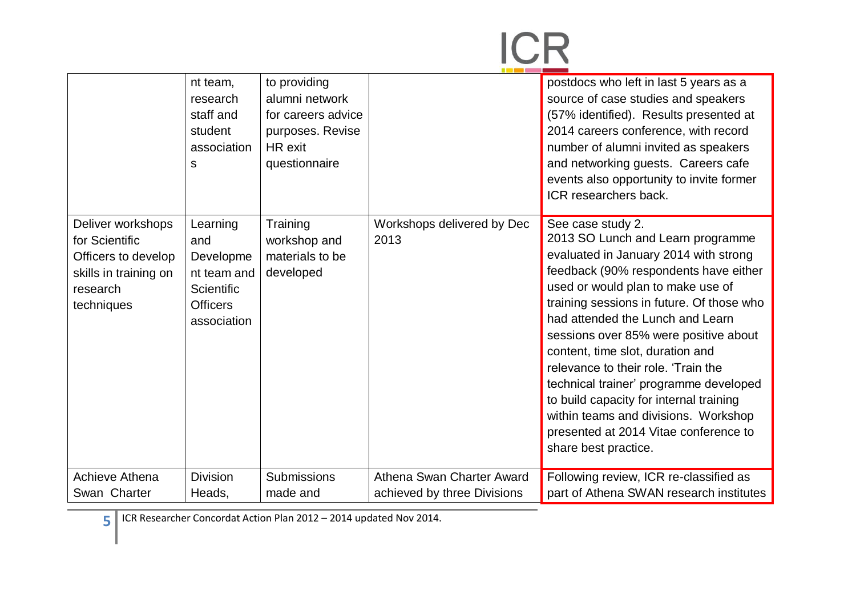# **ICR**

|                                                                                                               | nt team,<br>research<br>staff and<br>student<br>association<br>S                            | to providing<br>alumni network<br>for careers advice<br>purposes. Revise<br>HR exit<br>questionnaire |                                                          | postdocs who left in last 5 years as a<br>source of case studies and speakers<br>(57% identified). Results presented at<br>2014 careers conference, with record<br>number of alumni invited as speakers<br>and networking guests. Careers cafe<br>events also opportunity to invite former<br>ICR researchers back.                                                                                                                                                                                                                                                              |
|---------------------------------------------------------------------------------------------------------------|---------------------------------------------------------------------------------------------|------------------------------------------------------------------------------------------------------|----------------------------------------------------------|----------------------------------------------------------------------------------------------------------------------------------------------------------------------------------------------------------------------------------------------------------------------------------------------------------------------------------------------------------------------------------------------------------------------------------------------------------------------------------------------------------------------------------------------------------------------------------|
| Deliver workshops<br>for Scientific<br>Officers to develop<br>skills in training on<br>research<br>techniques | Learning<br>and<br>Developme<br>nt team and<br>Scientific<br><b>Officers</b><br>association | Training<br>workshop and<br>materials to be<br>developed                                             | Workshops delivered by Dec<br>2013                       | See case study 2.<br>2013 SO Lunch and Learn programme<br>evaluated in January 2014 with strong<br>feedback (90% respondents have either<br>used or would plan to make use of<br>training sessions in future. Of those who<br>had attended the Lunch and Learn<br>sessions over 85% were positive about<br>content, time slot, duration and<br>relevance to their role. 'Train the<br>technical trainer' programme developed<br>to build capacity for internal training<br>within teams and divisions. Workshop<br>presented at 2014 Vitae conference to<br>share best practice. |
| Achieve Athena<br>Swan Charter                                                                                | <b>Division</b><br>Heads,                                                                   | Submissions<br>made and                                                                              | Athena Swan Charter Award<br>achieved by three Divisions | Following review, ICR re-classified as<br>part of Athena SWAN research institutes                                                                                                                                                                                                                                                                                                                                                                                                                                                                                                |

**5** ICR Researcher Concordat Action Plan 2012 – 2014 updated Nov 2014.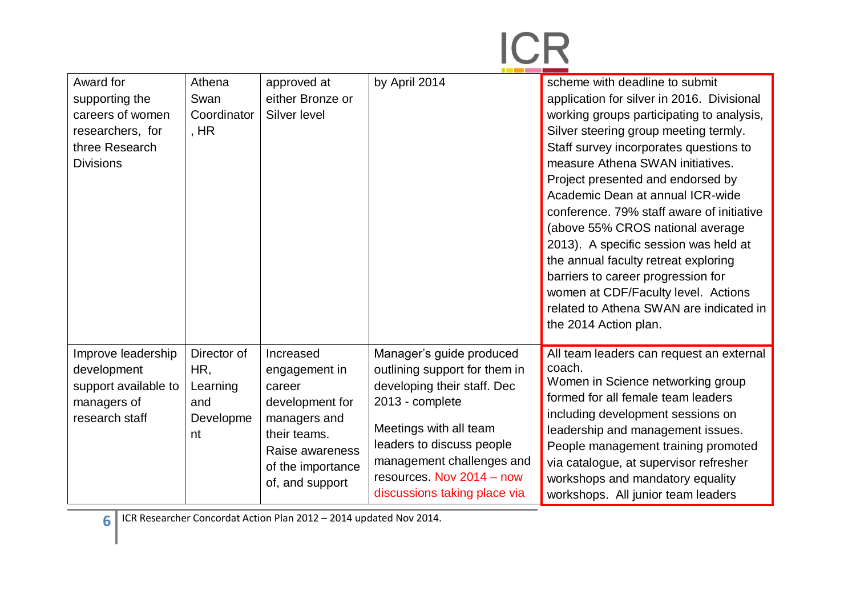| Award for<br>supporting the<br>careers of women<br>researchers, for<br>three Research<br><b>Divisions</b> | Athena<br>Swan<br>Coordinator<br>, $HR$                  | approved at<br>either Bronze or<br>Silver level                                                                                                    | by April 2014                                                                                                                                                                                                                                                | scheme with deadline to submit<br>application for silver in 2016. Divisional<br>working groups participating to analysis,<br>Silver steering group meeting termly.<br>Staff survey incorporates questions to<br>measure Athena SWAN initiatives.<br>Project presented and endorsed by<br>Academic Dean at annual ICR-wide<br>conference. 79% staff aware of initiative<br>(above 55% CROS national average<br>2013). A specific session was held at<br>the annual faculty retreat exploring<br>barriers to career progression for<br>women at CDF/Faculty level. Actions<br>related to Athena SWAN are indicated in<br>the 2014 Action plan. |
|-----------------------------------------------------------------------------------------------------------|----------------------------------------------------------|----------------------------------------------------------------------------------------------------------------------------------------------------|--------------------------------------------------------------------------------------------------------------------------------------------------------------------------------------------------------------------------------------------------------------|----------------------------------------------------------------------------------------------------------------------------------------------------------------------------------------------------------------------------------------------------------------------------------------------------------------------------------------------------------------------------------------------------------------------------------------------------------------------------------------------------------------------------------------------------------------------------------------------------------------------------------------------|
| Improve leadership<br>development<br>support available to<br>managers of<br>research staff                | Director of<br>HR,<br>Learning<br>and<br>Developme<br>nt | Increased<br>engagement in<br>career<br>development for<br>managers and<br>their teams.<br>Raise awareness<br>of the importance<br>of, and support | Manager's guide produced<br>outlining support for them in<br>developing their staff. Dec<br>2013 - complete<br>Meetings with all team<br>leaders to discuss people<br>management challenges and<br>resources. Nov 2014 - now<br>discussions taking place via | All team leaders can request an external<br>coach.<br>Women in Science networking group<br>formed for all female team leaders<br>including development sessions on<br>leadership and management issues.<br>People management training promoted<br>via catalogue, at supervisor refresher<br>workshops and mandatory equality<br>workshops. All junior team leaders                                                                                                                                                                                                                                                                           |